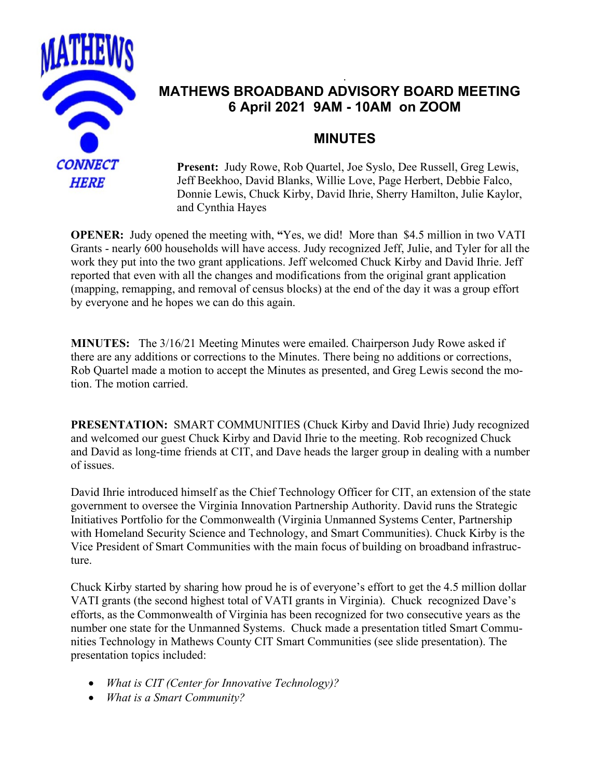

# . **MATHEWS BROADBAND ADVISORY BOARD MEETING 6 April 2021 9AM - 10AM on ZOOM**

# **MINUTES**

**Present:** Judy Rowe, Rob Quartel, Joe Syslo, Dee Russell, Greg Lewis, Jeff Beekhoo, David Blanks, Willie Love, Page Herbert, Debbie Falco, Donnie Lewis, Chuck Kirby, David Ihrie, Sherry Hamilton, Julie Kaylor, and Cynthia Hayes

**OPENER:** Judy opened the meeting with, **"**Yes, we did! More than \$4.5 million in two VATI Grants - nearly 600 households will have access. Judy recognized Jeff, Julie, and Tyler for all the work they put into the two grant applications. Jeff welcomed Chuck Kirby and David Ihrie. Jeff reported that even with all the changes and modifications from the original grant application (mapping, remapping, and removal of census blocks) at the end of the day it was a group effort by everyone and he hopes we can do this again.

**MINUTES:** The 3/16/21 Meeting Minutes were emailed. Chairperson Judy Rowe asked if there are any additions or corrections to the Minutes. There being no additions or corrections, Rob Quartel made a motion to accept the Minutes as presented, and Greg Lewis second the motion. The motion carried.

**PRESENTATION:** SMART COMMUNITIES (Chuck Kirby and David Ihrie) Judy recognized and welcomed our guest Chuck Kirby and David Ihrie to the meeting. Rob recognized Chuck and David as long-time friends at CIT, and Dave heads the larger group in dealing with a number of issues.

David Ihrie introduced himself as the Chief Technology Officer for CIT, an extension of the state government to oversee the Virginia Innovation Partnership Authority. David runs the Strategic Initiatives Portfolio for the Commonwealth (Virginia Unmanned Systems Center, Partnership with Homeland Security Science and Technology, and Smart Communities). Chuck Kirby is the Vice President of Smart Communities with the main focus of building on broadband infrastructure.

Chuck Kirby started by sharing how proud he is of everyone's effort to get the 4.5 million dollar VATI grants (the second highest total of VATI grants in Virginia). Chuck recognized Dave's efforts, as the Commonwealth of Virginia has been recognized for two consecutive years as the number one state for the Unmanned Systems. Chuck made a presentation titled Smart Communities Technology in Mathews County CIT Smart Communities (see slide presentation). The presentation topics included:

- *What is CIT (Center for Innovative Technology)?*
- *What is a Smart Community?*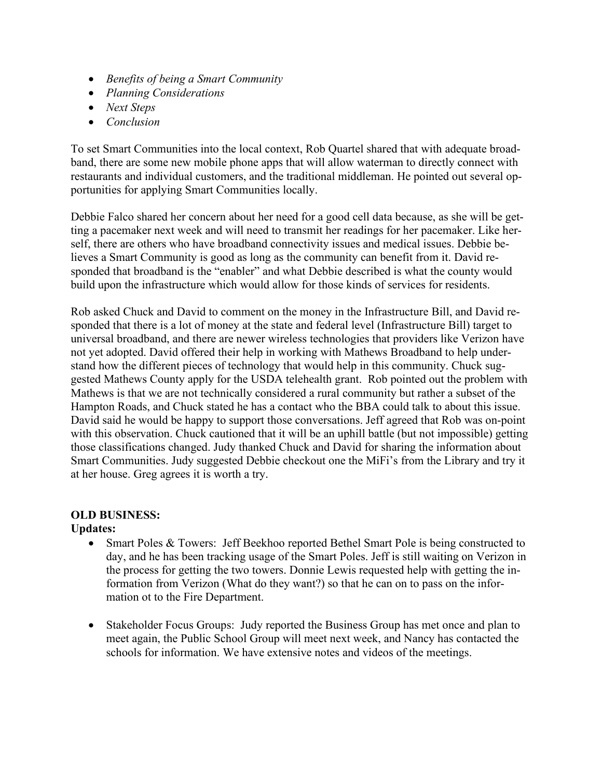- *Benefits of being a Smart Community*
- *Planning Considerations*
- *Next Steps*
- *Conclusion*

To set Smart Communities into the local context, Rob Quartel shared that with adequate broadband, there are some new mobile phone apps that will allow waterman to directly connect with restaurants and individual customers, and the traditional middleman. He pointed out several opportunities for applying Smart Communities locally.

Debbie Falco shared her concern about her need for a good cell data because, as she will be getting a pacemaker next week and will need to transmit her readings for her pacemaker. Like herself, there are others who have broadband connectivity issues and medical issues. Debbie believes a Smart Community is good as long as the community can benefit from it. David responded that broadband is the "enabler" and what Debbie described is what the county would build upon the infrastructure which would allow for those kinds of services for residents.

Rob asked Chuck and David to comment on the money in the Infrastructure Bill, and David responded that there is a lot of money at the state and federal level (Infrastructure Bill) target to universal broadband, and there are newer wireless technologies that providers like Verizon have not yet adopted. David offered their help in working with Mathews Broadband to help understand how the different pieces of technology that would help in this community. Chuck suggested Mathews County apply for the USDA telehealth grant. Rob pointed out the problem with Mathews is that we are not technically considered a rural community but rather a subset of the Hampton Roads, and Chuck stated he has a contact who the BBA could talk to about this issue. David said he would be happy to support those conversations. Jeff agreed that Rob was on-point with this observation. Chuck cautioned that it will be an uphill battle (but not impossible) getting those classifications changed. Judy thanked Chuck and David for sharing the information about Smart Communities. Judy suggested Debbie checkout one the MiFi's from the Library and try it at her house. Greg agrees it is worth a try.

#### **OLD BUSINESS:**

## **Updates:**

- Smart Poles & Towers: Jeff Beekhoo reported Bethel Smart Pole is being constructed to day, and he has been tracking usage of the Smart Poles. Jeff is still waiting on Verizon in the process for getting the two towers. Donnie Lewis requested help with getting the information from Verizon (What do they want?) so that he can on to pass on the information ot to the Fire Department.
- Stakeholder Focus Groups: Judy reported the Business Group has met once and plan to meet again, the Public School Group will meet next week, and Nancy has contacted the schools for information. We have extensive notes and videos of the meetings.